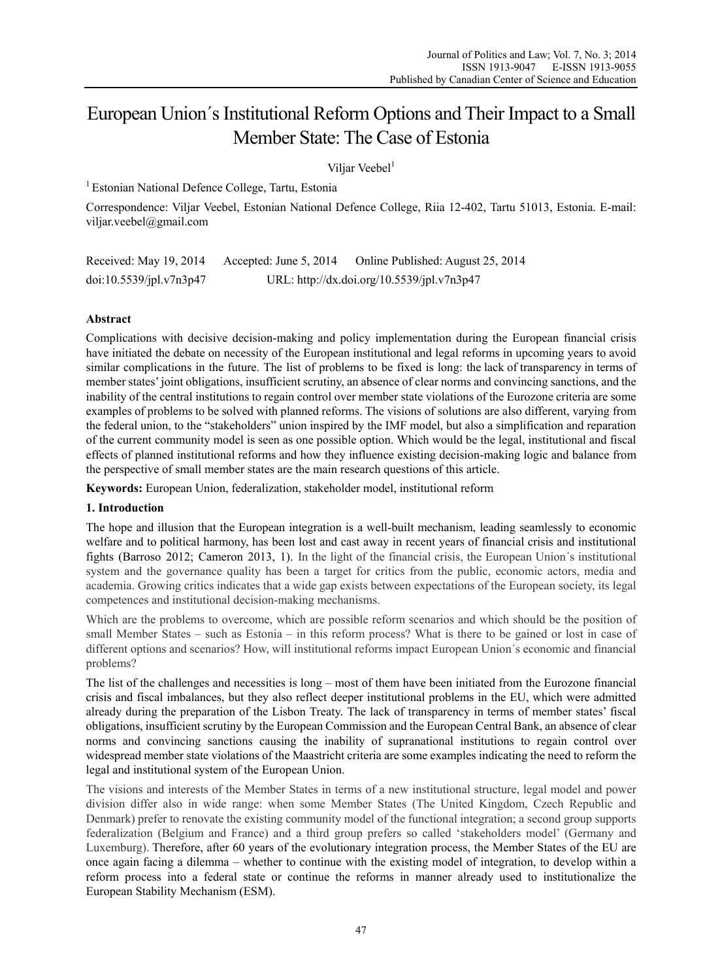# European Union´s Institutional Reform Options and Their Impact to a Small Member State: The Case of Estonia

Viljar Veebel<sup>1</sup>

<sup>1</sup> Estonian National Defence College, Tartu, Estonia

Correspondence: Viljar Veebel, Estonian National Defence College, Riia 12-402, Tartu 51013, Estonia. E-mail: viljar.veebel@gmail.com

Received: May 19, 2014 Accepted: June 5, 2014 Online Published: August 25, 2014 doi:10.5539/jpl.v7n3p47 URL: http://dx.doi.org/10.5539/jpl.v7n3p47

# **Abstract**

Complications with decisive decision-making and policy implementation during the European financial crisis have initiated the debate on necessity of the European institutional and legal reforms in upcoming years to avoid similar complications in the future. The list of problems to be fixed is long: the lack of transparency in terms of member states' joint obligations, insufficient scrutiny, an absence of clear norms and convincing sanctions, and the inability of the central institutions to regain control over member state violations of the Eurozone criteria are some examples of problems to be solved with planned reforms. The visions of solutions are also different, varying from the federal union, to the "stakeholders" union inspired by the IMF model, but also a simplification and reparation of the current community model is seen as one possible option. Which would be the legal, institutional and fiscal effects of planned institutional reforms and how they influence existing decision-making logic and balance from the perspective of small member states are the main research questions of this article.

**Keywords:** European Union, federalization, stakeholder model, institutional reform

# **1. Introduction**

The hope and illusion that the European integration is a well-built mechanism, leading seamlessly to economic welfare and to political harmony, has been lost and cast away in recent years of financial crisis and institutional fights (Barroso 2012; Cameron 2013, 1). In the light of the financial crisis, the European Union´s institutional system and the governance quality has been a target for critics from the public, economic actors, media and academia. Growing critics indicates that a wide gap exists between expectations of the European society, its legal competences and institutional decision-making mechanisms.

Which are the problems to overcome, which are possible reform scenarios and which should be the position of small Member States – such as Estonia – in this reform process? What is there to be gained or lost in case of different options and scenarios? How, will institutional reforms impact European Union´s economic and financial problems?

The list of the challenges and necessities is long – most of them have been initiated from the Eurozone financial crisis and fiscal imbalances, but they also reflect deeper institutional problems in the EU, which were admitted already during the preparation of the Lisbon Treaty. The lack of transparency in terms of member states' fiscal obligations, insufficient scrutiny by the European Commission and the European Central Bank, an absence of clear norms and convincing sanctions causing the inability of supranational institutions to regain control over widespread member state violations of the Maastricht criteria are some examples indicating the need to reform the legal and institutional system of the European Union.

The visions and interests of the Member States in terms of a new institutional structure, legal model and power division differ also in wide range: when some Member States (The United Kingdom, Czech Republic and Denmark) prefer to renovate the existing community model of the functional integration; a second group supports federalization (Belgium and France) and a third group prefers so called 'stakeholders model' (Germany and Luxemburg). Therefore, after 60 years of the evolutionary integration process, the Member States of the EU are once again facing a dilemma – whether to continue with the existing model of integration, to develop within a reform process into a federal state or continue the reforms in manner already used to institutionalize the European Stability Mechanism (ESM).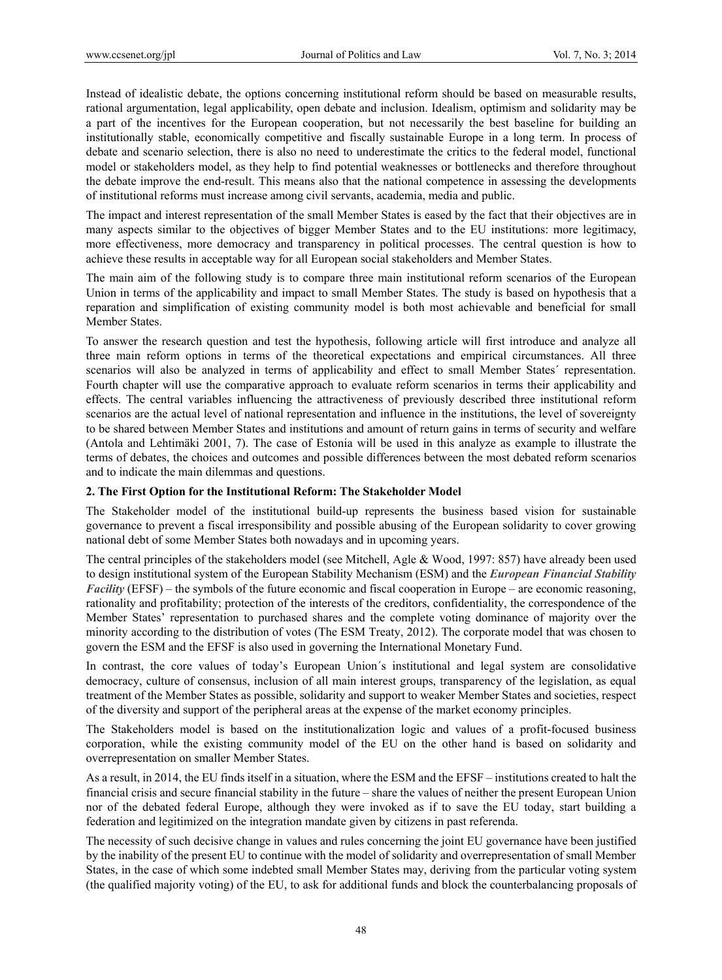Instead of idealistic debate, the options concerning institutional reform should be based on measurable results, rational argumentation, legal applicability, open debate and inclusion. Idealism, optimism and solidarity may be a part of the incentives for the European cooperation, but not necessarily the best baseline for building an institutionally stable, economically competitive and fiscally sustainable Europe in a long term. In process of debate and scenario selection, there is also no need to underestimate the critics to the federal model, functional model or stakeholders model, as they help to find potential weaknesses or bottlenecks and therefore throughout the debate improve the end-result. This means also that the national competence in assessing the developments of institutional reforms must increase among civil servants, academia, media and public.

The impact and interest representation of the small Member States is eased by the fact that their objectives are in many aspects similar to the objectives of bigger Member States and to the EU institutions: more legitimacy, more effectiveness, more democracy and transparency in political processes. The central question is how to achieve these results in acceptable way for all European social stakeholders and Member States.

The main aim of the following study is to compare three main institutional reform scenarios of the European Union in terms of the applicability and impact to small Member States. The study is based on hypothesis that a reparation and simplification of existing community model is both most achievable and beneficial for small Member States.

To answer the research question and test the hypothesis, following article will first introduce and analyze all three main reform options in terms of the theoretical expectations and empirical circumstances. All three scenarios will also be analyzed in terms of applicability and effect to small Member States´ representation. Fourth chapter will use the comparative approach to evaluate reform scenarios in terms their applicability and effects. The central variables influencing the attractiveness of previously described three institutional reform scenarios are the actual level of national representation and influence in the institutions, the level of sovereignty to be shared between Member States and institutions and amount of return gains in terms of security and welfare (Antola and Lehtimäki 2001, 7). The case of Estonia will be used in this analyze as example to illustrate the terms of debates, the choices and outcomes and possible differences between the most debated reform scenarios and to indicate the main dilemmas and questions.

### **2. The First Option for the Institutional Reform: The Stakeholder Model**

The Stakeholder model of the institutional build-up represents the business based vision for sustainable governance to prevent a fiscal irresponsibility and possible abusing of the European solidarity to cover growing national debt of some Member States both nowadays and in upcoming years.

The central principles of the stakeholders model (see Mitchell, Agle & Wood, 1997: 857) have already been used to design institutional system of the European Stability Mechanism (ESM) and the *European Financial Stability Facility* (EFSF) – the symbols of the future economic and fiscal cooperation in Europe – are economic reasoning, rationality and profitability; protection of the interests of the creditors, confidentiality, the correspondence of the Member States' representation to purchased shares and the complete voting dominance of majority over the minority according to the distribution of votes (The ESM Treaty, 2012). The corporate model that was chosen to govern the ESM and the EFSF is also used in governing the International Monetary Fund.

In contrast, the core values of today's European Union´s institutional and legal system are consolidative democracy, culture of consensus, inclusion of all main interest groups, transparency of the legislation, as equal treatment of the Member States as possible, solidarity and support to weaker Member States and societies, respect of the diversity and support of the peripheral areas at the expense of the market economy principles.

The Stakeholders model is based on the institutionalization logic and values of a profit-focused business corporation, while the existing community model of the EU on the other hand is based on solidarity and overrepresentation on smaller Member States.

As a result, in 2014, the EU finds itself in a situation, where the ESM and the EFSF – institutions created to halt the financial crisis and secure financial stability in the future – share the values of neither the present European Union nor of the debated federal Europe, although they were invoked as if to save the EU today, start building a federation and legitimized on the integration mandate given by citizens in past referenda.

The necessity of such decisive change in values and rules concerning the joint EU governance have been justified by the inability of the present EU to continue with the model of solidarity and overrepresentation of small Member States, in the case of which some indebted small Member States may, deriving from the particular voting system (the qualified majority voting) of the EU, to ask for additional funds and block the counterbalancing proposals of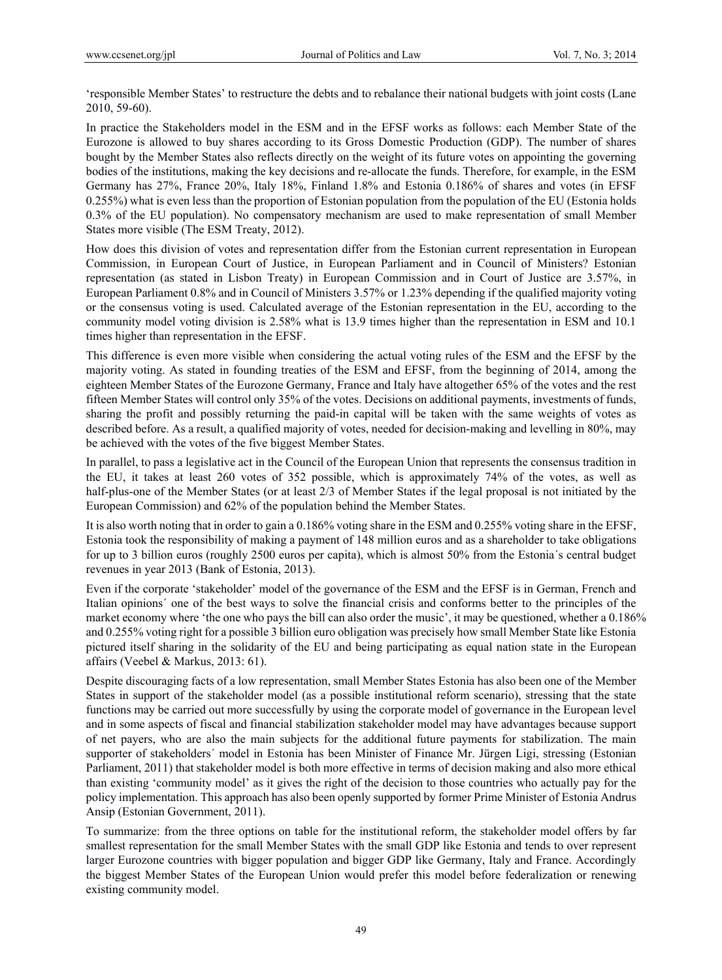'responsible Member States' to restructure the debts and to rebalance their national budgets with joint costs (Lane 2010, 59-60).

In practice the Stakeholders model in the ESM and in the EFSF works as follows: each Member State of the Eurozone is allowed to buy shares according to its Gross Domestic Production (GDP). The number of shares bought by the Member States also reflects directly on the weight of its future votes on appointing the governing bodies of the institutions, making the key decisions and re-allocate the funds. Therefore, for example, in the ESM Germany has 27%, France 20%, Italy 18%, Finland 1.8% and Estonia 0.186% of shares and votes (in EFSF 0.255%) what is even less than the proportion of Estonian population from the population of the EU (Estonia holds 0.3% of the EU population). No compensatory mechanism are used to make representation of small Member States more visible (The ESM Treaty, 2012).

How does this division of votes and representation differ from the Estonian current representation in European Commission, in European Court of Justice, in European Parliament and in Council of Ministers? Estonian representation (as stated in Lisbon Treaty) in European Commission and in Court of Justice are 3.57%, in European Parliament 0.8% and in Council of Ministers 3.57% or 1.23% depending if the qualified majority voting or the consensus voting is used. Calculated average of the Estonian representation in the EU, according to the community model voting division is 2.58% what is 13.9 times higher than the representation in ESM and 10.1 times higher than representation in the EFSF.

This difference is even more visible when considering the actual voting rules of the ESM and the EFSF by the majority voting. As stated in founding treaties of the ESM and EFSF, from the beginning of 2014, among the eighteen Member States of the Eurozone Germany, France and Italy have altogether 65% of the votes and the rest fifteen Member States will control only 35% of the votes. Decisions on additional payments, investments of funds, sharing the profit and possibly returning the paid-in capital will be taken with the same weights of votes as described before. As a result, a qualified majority of votes, needed for decision-making and levelling in 80%, may be achieved with the votes of the five biggest Member States.

In parallel, to pass a legislative act in the Council of the European Union that represents the consensus tradition in the EU, it takes at least 260 votes of 352 possible, which is approximately 74% of the votes, as well as half-plus-one of the Member States (or at least 2/3 of Member States if the legal proposal is not initiated by the European Commission) and 62% of the population behind the Member States.

It is also worth noting that in order to gain a 0.186% voting share in the ESM and 0.255% voting share in the EFSF, Estonia took the responsibility of making a payment of 148 million euros and as a shareholder to take obligations for up to 3 billion euros (roughly 2500 euros per capita), which is almost 50% from the Estonia´s central budget revenues in year 2013 (Bank of Estonia, 2013).

Even if the corporate 'stakeholder' model of the governance of the ESM and the EFSF is in German, French and Italian opinions´ one of the best ways to solve the financial crisis and conforms better to the principles of the market economy where 'the one who pays the bill can also order the music', it may be questioned, whether a 0.186% and 0.255% voting right for a possible 3 billion euro obligation was precisely how small Member State like Estonia pictured itself sharing in the solidarity of the EU and being participating as equal nation state in the European affairs (Veebel & Markus, 2013: 61).

Despite discouraging facts of a low representation, small Member States Estonia has also been one of the Member States in support of the stakeholder model (as a possible institutional reform scenario), stressing that the state functions may be carried out more successfully by using the corporate model of governance in the European level and in some aspects of fiscal and financial stabilization stakeholder model may have advantages because support of net payers, who are also the main subjects for the additional future payments for stabilization. The main supporter of stakeholders´ model in Estonia has been Minister of Finance Mr. Jürgen Ligi, stressing (Estonian Parliament, 2011) that stakeholder model is both more effective in terms of decision making and also more ethical than existing 'community model' as it gives the right of the decision to those countries who actually pay for the policy implementation. This approach has also been openly supported by former Prime Minister of Estonia Andrus Ansip (Estonian Government, 2011).

To summarize: from the three options on table for the institutional reform, the stakeholder model offers by far smallest representation for the small Member States with the small GDP like Estonia and tends to over represent larger Eurozone countries with bigger population and bigger GDP like Germany, Italy and France. Accordingly the biggest Member States of the European Union would prefer this model before federalization or renewing existing community model.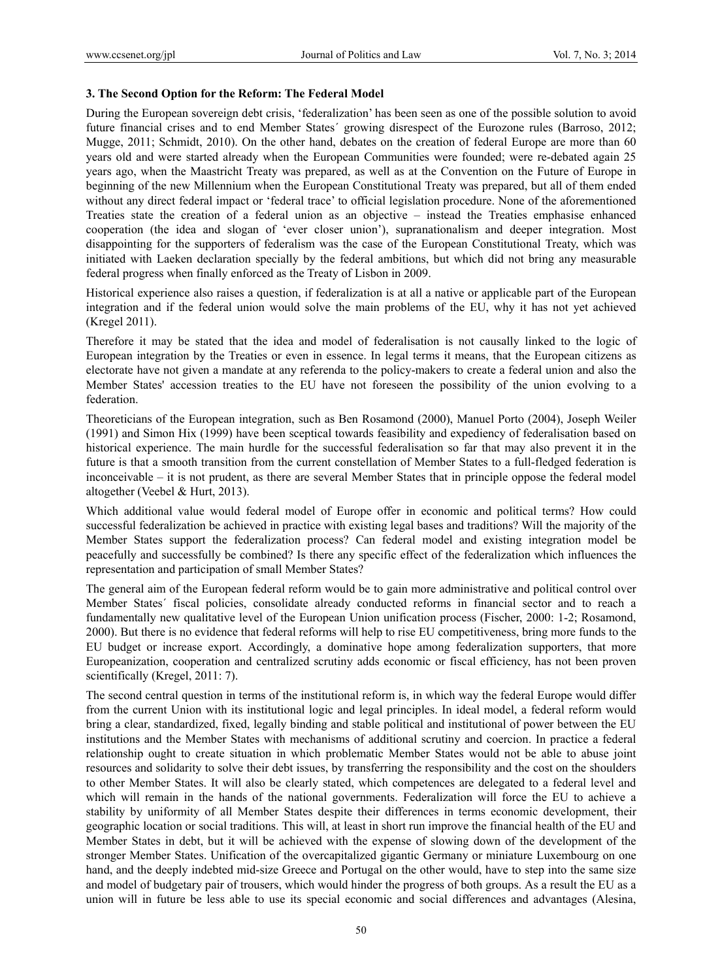#### **3. The Second Option for the Reform: The Federal Model**

During the European sovereign debt crisis, 'federalization' has been seen as one of the possible solution to avoid future financial crises and to end Member States´ growing disrespect of the Eurozone rules (Barroso, 2012; Mugge, 2011; Schmidt, 2010). On the other hand, debates on the creation of federal Europe are more than 60 years old and were started already when the European Communities were founded; were re-debated again 25 years ago, when the Maastricht Treaty was prepared, as well as at the Convention on the Future of Europe in beginning of the new Millennium when the European Constitutional Treaty was prepared, but all of them ended without any direct federal impact or 'federal trace' to official legislation procedure. None of the aforementioned Treaties state the creation of a federal union as an objective – instead the Treaties emphasise enhanced cooperation (the idea and slogan of 'ever closer union'), supranationalism and deeper integration. Most disappointing for the supporters of federalism was the case of the European Constitutional Treaty, which was initiated with Laeken declaration specially by the federal ambitions, but which did not bring any measurable federal progress when finally enforced as the Treaty of Lisbon in 2009.

Historical experience also raises a question, if federalization is at all a native or applicable part of the European integration and if the federal union would solve the main problems of the EU, why it has not yet achieved (Kregel 2011).

Therefore it may be stated that the idea and model of federalisation is not causally linked to the logic of European integration by the Treaties or even in essence. In legal terms it means, that the European citizens as electorate have not given a mandate at any referenda to the policy-makers to create a federal union and also the Member States' accession treaties to the EU have not foreseen the possibility of the union evolving to a federation.

Theoreticians of the European integration, such as Ben Rosamond (2000), Manuel Porto (2004), Joseph Weiler (1991) and Simon Hix (1999) have been sceptical towards feasibility and expediency of federalisation based on historical experience. The main hurdle for the successful federalisation so far that may also prevent it in the future is that a smooth transition from the current constellation of Member States to a full-fledged federation is inconceivable – it is not prudent, as there are several Member States that in principle oppose the federal model altogether (Veebel & Hurt, 2013).

Which additional value would federal model of Europe offer in economic and political terms? How could successful federalization be achieved in practice with existing legal bases and traditions? Will the majority of the Member States support the federalization process? Can federal model and existing integration model be peacefully and successfully be combined? Is there any specific effect of the federalization which influences the representation and participation of small Member States?

The general aim of the European federal reform would be to gain more administrative and political control over Member States´ fiscal policies, consolidate already conducted reforms in financial sector and to reach a fundamentally new qualitative level of the European Union unification process (Fischer, 2000: 1-2; Rosamond, 2000). But there is no evidence that federal reforms will help to rise EU competitiveness, bring more funds to the EU budget or increase export. Accordingly, a dominative hope among federalization supporters, that more Europeanization, cooperation and centralized scrutiny adds economic or fiscal efficiency, has not been proven scientifically (Kregel, 2011: 7).

The second central question in terms of the institutional reform is, in which way the federal Europe would differ from the current Union with its institutional logic and legal principles. In ideal model, a federal reform would bring a clear, standardized, fixed, legally binding and stable political and institutional of power between the EU institutions and the Member States with mechanisms of additional scrutiny and coercion. In practice a federal relationship ought to create situation in which problematic Member States would not be able to abuse joint resources and solidarity to solve their debt issues, by transferring the responsibility and the cost on the shoulders to other Member States. It will also be clearly stated, which competences are delegated to a federal level and which will remain in the hands of the national governments. Federalization will force the EU to achieve a stability by uniformity of all Member States despite their differences in terms economic development, their geographic location or social traditions. This will, at least in short run improve the financial health of the EU and Member States in debt, but it will be achieved with the expense of slowing down of the development of the stronger Member States. Unification of the overcapitalized gigantic Germany or miniature Luxembourg on one hand, and the deeply indebted mid-size Greece and Portugal on the other would, have to step into the same size and model of budgetary pair of trousers, which would hinder the progress of both groups. As a result the EU as a union will in future be less able to use its special economic and social differences and advantages (Alesina,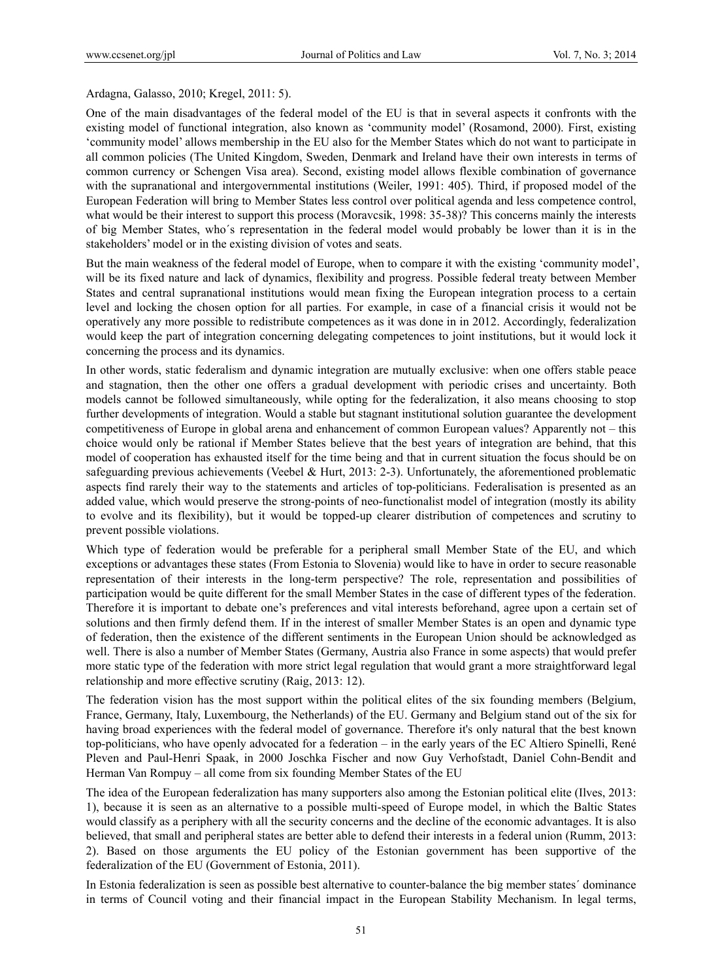Ardagna, Galasso, 2010; Kregel, 2011: 5).

One of the main disadvantages of the federal model of the EU is that in several aspects it confronts with the existing model of functional integration, also known as 'community model' (Rosamond, 2000). First, existing 'community model' allows membership in the EU also for the Member States which do not want to participate in all common policies (The United Kingdom, Sweden, Denmark and Ireland have their own interests in terms of common currency or Schengen Visa area). Second, existing model allows flexible combination of governance with the supranational and intergovernmental institutions (Weiler, 1991: 405). Third, if proposed model of the European Federation will bring to Member States less control over political agenda and less competence control, what would be their interest to support this process (Moravcsik, 1998: 35-38)? This concerns mainly the interests of big Member States, who´s representation in the federal model would probably be lower than it is in the stakeholders' model or in the existing division of votes and seats.

But the main weakness of the federal model of Europe, when to compare it with the existing 'community model', will be its fixed nature and lack of dynamics, flexibility and progress. Possible federal treaty between Member States and central supranational institutions would mean fixing the European integration process to a certain level and locking the chosen option for all parties. For example, in case of a financial crisis it would not be operatively any more possible to redistribute competences as it was done in in 2012. Accordingly, federalization would keep the part of integration concerning delegating competences to joint institutions, but it would lock it concerning the process and its dynamics.

In other words, static federalism and dynamic integration are mutually exclusive: when one offers stable peace and stagnation, then the other one offers a gradual development with periodic crises and uncertainty. Both models cannot be followed simultaneously, while opting for the federalization, it also means choosing to stop further developments of integration. Would a stable but stagnant institutional solution guarantee the development competitiveness of Europe in global arena and enhancement of common European values? Apparently not – this choice would only be rational if Member States believe that the best years of integration are behind, that this model of cooperation has exhausted itself for the time being and that in current situation the focus should be on safeguarding previous achievements (Veebel & Hurt, 2013: 2-3). Unfortunately, the aforementioned problematic aspects find rarely their way to the statements and articles of top-politicians. Federalisation is presented as an added value, which would preserve the strong-points of neo-functionalist model of integration (mostly its ability to evolve and its flexibility), but it would be topped-up clearer distribution of competences and scrutiny to prevent possible violations.

Which type of federation would be preferable for a peripheral small Member State of the EU, and which exceptions or advantages these states (From Estonia to Slovenia) would like to have in order to secure reasonable representation of their interests in the long-term perspective? The role, representation and possibilities of participation would be quite different for the small Member States in the case of different types of the federation. Therefore it is important to debate one's preferences and vital interests beforehand, agree upon a certain set of solutions and then firmly defend them. If in the interest of smaller Member States is an open and dynamic type of federation, then the existence of the different sentiments in the European Union should be acknowledged as well. There is also a number of Member States (Germany, Austria also France in some aspects) that would prefer more static type of the federation with more strict legal regulation that would grant a more straightforward legal relationship and more effective scrutiny (Raig, 2013: 12).

The federation vision has the most support within the political elites of the six founding members (Belgium, France, Germany, Italy, Luxembourg, the Netherlands) of the EU. Germany and Belgium stand out of the six for having broad experiences with the federal model of governance. Therefore it's only natural that the best known top-politicians, who have openly advocated for a federation – in the early years of the EC Altiero Spinelli, René Pleven and Paul-Henri Spaak, in 2000 Joschka Fischer and now Guy Verhofstadt, Daniel Cohn-Bendit and Herman Van Rompuy – all come from six founding Member States of the EU

The idea of the European federalization has many supporters also among the Estonian political elite (Ilves, 2013: 1), because it is seen as an alternative to a possible multi-speed of Europe model, in which the Baltic States would classify as a periphery with all the security concerns and the decline of the economic advantages. It is also believed, that small and peripheral states are better able to defend their interests in a federal union (Rumm, 2013: 2). Based on those arguments the EU policy of the Estonian government has been supportive of the federalization of the EU (Government of Estonia, 2011).

In Estonia federalization is seen as possible best alternative to counter-balance the big member states´ dominance in terms of Council voting and their financial impact in the European Stability Mechanism. In legal terms,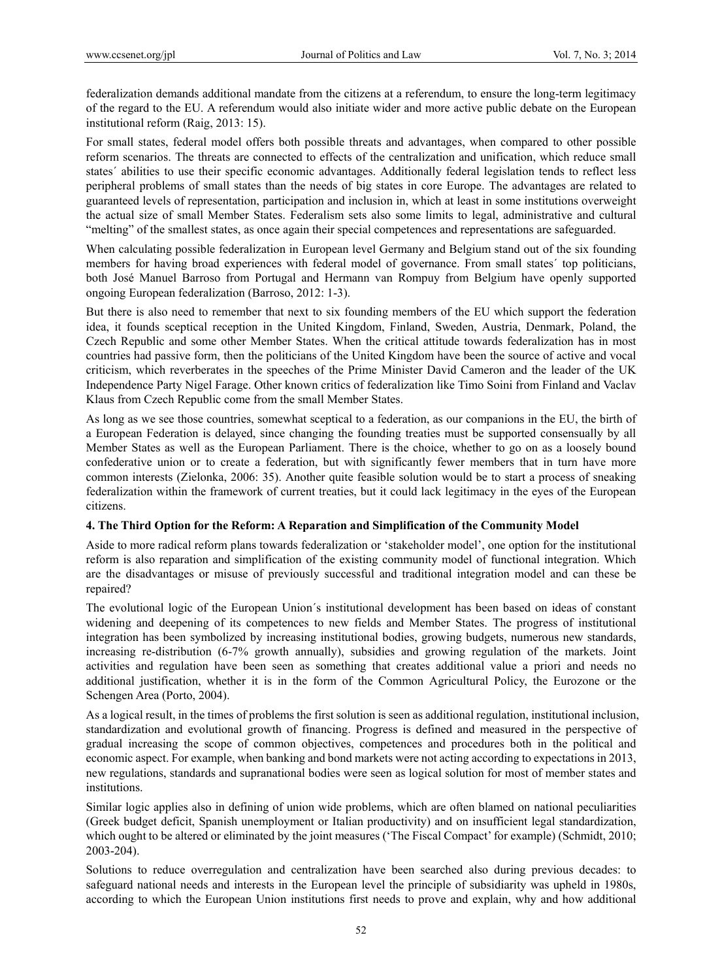federalization demands additional mandate from the citizens at a referendum, to ensure the long-term legitimacy of the regard to the EU. A referendum would also initiate wider and more active public debate on the European institutional reform (Raig, 2013: 15).

For small states, federal model offers both possible threats and advantages, when compared to other possible reform scenarios. The threats are connected to effects of the centralization and unification, which reduce small states´ abilities to use their specific economic advantages. Additionally federal legislation tends to reflect less peripheral problems of small states than the needs of big states in core Europe. The advantages are related to guaranteed levels of representation, participation and inclusion in, which at least in some institutions overweight the actual size of small Member States. Federalism sets also some limits to legal, administrative and cultural "melting" of the smallest states, as once again their special competences and representations are safeguarded.

When calculating possible federalization in European level Germany and Belgium stand out of the six founding members for having broad experiences with federal model of governance. From small states´ top politicians, both José Manuel Barroso from Portugal and Hermann van Rompuy from Belgium have openly supported ongoing European federalization (Barroso, 2012: 1-3).

But there is also need to remember that next to six founding members of the EU which support the federation idea, it founds sceptical reception in the United Kingdom, Finland, Sweden, Austria, Denmark, Poland, the Czech Republic and some other Member States. When the critical attitude towards federalization has in most countries had passive form, then the politicians of the United Kingdom have been the source of active and vocal criticism, which reverberates in the speeches of the Prime Minister David Cameron and the leader of the UK Independence Party Nigel Farage. Other known critics of federalization like Timo Soini from Finland and Vaclav Klaus from Czech Republic come from the small Member States.

As long as we see those countries, somewhat sceptical to a federation, as our companions in the EU, the birth of a European Federation is delayed, since changing the founding treaties must be supported consensually by all Member States as well as the European Parliament. There is the choice, whether to go on as a loosely bound confederative union or to create a federation, but with significantly fewer members that in turn have more common interests (Zielonka, 2006: 35). Another quite feasible solution would be to start a process of sneaking federalization within the framework of current treaties, but it could lack legitimacy in the eyes of the European citizens.

## **4. The Third Option for the Reform: A Reparation and Simplification of the Community Model**

Aside to more radical reform plans towards federalization or 'stakeholder model', one option for the institutional reform is also reparation and simplification of the existing community model of functional integration. Which are the disadvantages or misuse of previously successful and traditional integration model and can these be repaired?

The evolutional logic of the European Union´s institutional development has been based on ideas of constant widening and deepening of its competences to new fields and Member States. The progress of institutional integration has been symbolized by increasing institutional bodies, growing budgets, numerous new standards, increasing re-distribution (6-7% growth annually), subsidies and growing regulation of the markets. Joint activities and regulation have been seen as something that creates additional value a priori and needs no additional justification, whether it is in the form of the Common Agricultural Policy, the Eurozone or the Schengen Area (Porto, 2004).

As a logical result, in the times of problems the first solution is seen as additional regulation, institutional inclusion, standardization and evolutional growth of financing. Progress is defined and measured in the perspective of gradual increasing the scope of common objectives, competences and procedures both in the political and economic aspect. For example, when banking and bond markets were not acting according to expectations in 2013, new regulations, standards and supranational bodies were seen as logical solution for most of member states and institutions.

Similar logic applies also in defining of union wide problems, which are often blamed on national peculiarities (Greek budget deficit, Spanish unemployment or Italian productivity) and on insufficient legal standardization, which ought to be altered or eliminated by the joint measures ('The Fiscal Compact' for example) (Schmidt, 2010; 2003-204).

Solutions to reduce overregulation and centralization have been searched also during previous decades: to safeguard national needs and interests in the European level the principle of subsidiarity was upheld in 1980s, according to which the European Union institutions first needs to prove and explain, why and how additional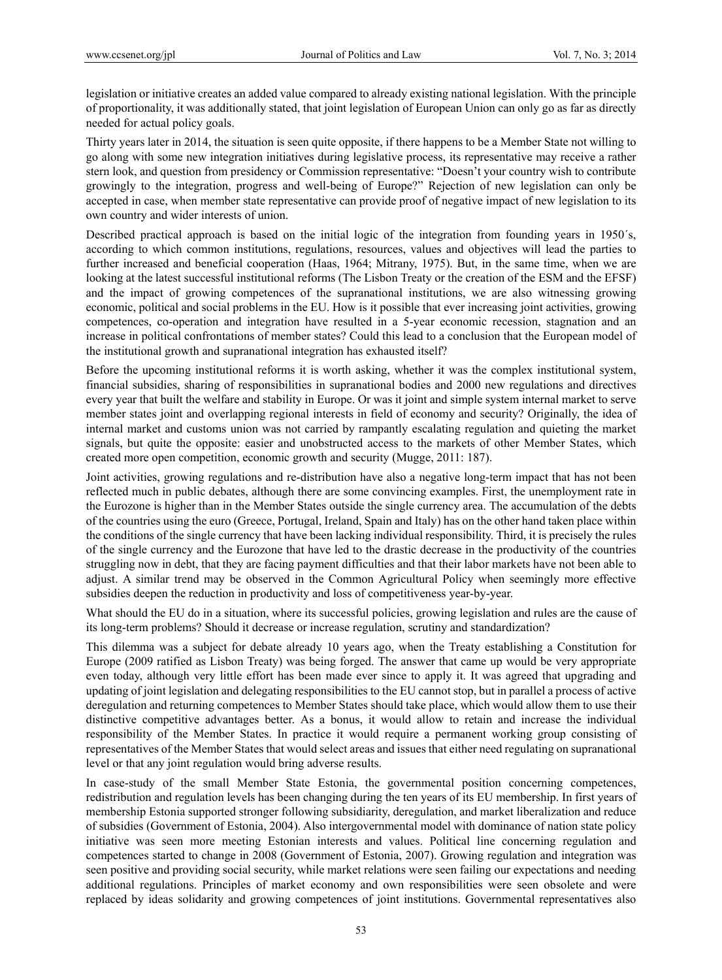legislation or initiative creates an added value compared to already existing national legislation. With the principle of proportionality, it was additionally stated, that joint legislation of European Union can only go as far as directly needed for actual policy goals.

Thirty years later in 2014, the situation is seen quite opposite, if there happens to be a Member State not willing to go along with some new integration initiatives during legislative process, its representative may receive a rather stern look, and question from presidency or Commission representative: "Doesn't your country wish to contribute growingly to the integration, progress and well-being of Europe?" Rejection of new legislation can only be accepted in case, when member state representative can provide proof of negative impact of new legislation to its own country and wider interests of union.

Described practical approach is based on the initial logic of the integration from founding years in 1950´s, according to which common institutions, regulations, resources, values and objectives will lead the parties to further increased and beneficial cooperation (Haas, 1964; Mitrany, 1975). But, in the same time, when we are looking at the latest successful institutional reforms (The Lisbon Treaty or the creation of the ESM and the EFSF) and the impact of growing competences of the supranational institutions, we are also witnessing growing economic, political and social problems in the EU. How is it possible that ever increasing joint activities, growing competences, co-operation and integration have resulted in a 5-year economic recession, stagnation and an increase in political confrontations of member states? Could this lead to a conclusion that the European model of the institutional growth and supranational integration has exhausted itself?

Before the upcoming institutional reforms it is worth asking, whether it was the complex institutional system, financial subsidies, sharing of responsibilities in supranational bodies and 2000 new regulations and directives every year that built the welfare and stability in Europe. Or was it joint and simple system internal market to serve member states joint and overlapping regional interests in field of economy and security? Originally, the idea of internal market and customs union was not carried by rampantly escalating regulation and quieting the market signals, but quite the opposite: easier and unobstructed access to the markets of other Member States, which created more open competition, economic growth and security (Mugge, 2011: 187).

Joint activities, growing regulations and re-distribution have also a negative long-term impact that has not been reflected much in public debates, although there are some convincing examples. First, the unemployment rate in the Eurozone is higher than in the Member States outside the single currency area. The accumulation of the debts of the countries using the euro (Greece, Portugal, Ireland, Spain and Italy) has on the other hand taken place within the conditions of the single currency that have been lacking individual responsibility. Third, it is precisely the rules of the single currency and the Eurozone that have led to the drastic decrease in the productivity of the countries struggling now in debt, that they are facing payment difficulties and that their labor markets have not been able to adjust. A similar trend may be observed in the Common Agricultural Policy when seemingly more effective subsidies deepen the reduction in productivity and loss of competitiveness year-by-year.

What should the EU do in a situation, where its successful policies, growing legislation and rules are the cause of its long-term problems? Should it decrease or increase regulation, scrutiny and standardization?

This dilemma was a subject for debate already 10 years ago, when the Treaty establishing a Constitution for Europe (2009 ratified as Lisbon Treaty) was being forged. The answer that came up would be very appropriate even today, although very little effort has been made ever since to apply it. It was agreed that upgrading and updating of joint legislation and delegating responsibilities to the EU cannot stop, but in parallel a process of active deregulation and returning competences to Member States should take place, which would allow them to use their distinctive competitive advantages better. As a bonus, it would allow to retain and increase the individual responsibility of the Member States. In practice it would require a permanent working group consisting of representatives of the Member States that would select areas and issues that either need regulating on supranational level or that any joint regulation would bring adverse results.

In case-study of the small Member State Estonia, the governmental position concerning competences, redistribution and regulation levels has been changing during the ten years of its EU membership. In first years of membership Estonia supported stronger following subsidiarity, deregulation, and market liberalization and reduce of subsidies (Government of Estonia, 2004). Also intergovernmental model with dominance of nation state policy initiative was seen more meeting Estonian interests and values. Political line concerning regulation and competences started to change in 2008 (Government of Estonia, 2007). Growing regulation and integration was seen positive and providing social security, while market relations were seen failing our expectations and needing additional regulations. Principles of market economy and own responsibilities were seen obsolete and were replaced by ideas solidarity and growing competences of joint institutions. Governmental representatives also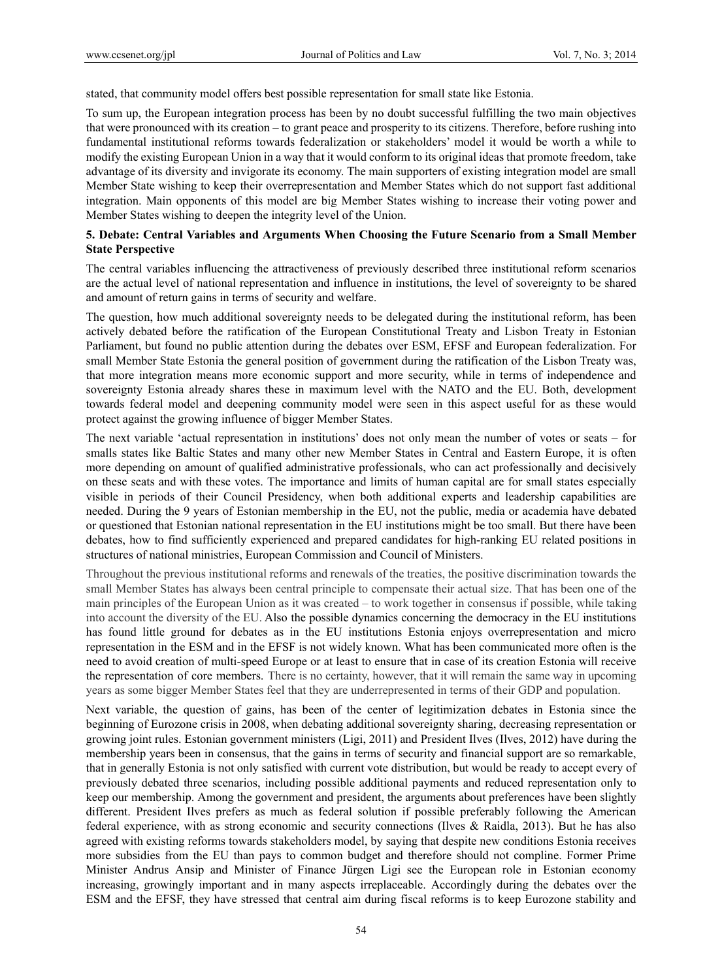stated, that community model offers best possible representation for small state like Estonia.

To sum up, the European integration process has been by no doubt successful fulfilling the two main objectives that were pronounced with its creation – to grant peace and prosperity to its citizens. Therefore, before rushing into fundamental institutional reforms towards federalization or stakeholders' model it would be worth a while to modify the existing European Union in a way that it would conform to its original ideas that promote freedom, take advantage of its diversity and invigorate its economy. The main supporters of existing integration model are small Member State wishing to keep their overrepresentation and Member States which do not support fast additional integration. Main opponents of this model are big Member States wishing to increase their voting power and Member States wishing to deepen the integrity level of the Union.

## **5. Debate: Central Variables and Arguments When Choosing the Future Scenario from a Small Member State Perspective**

The central variables influencing the attractiveness of previously described three institutional reform scenarios are the actual level of national representation and influence in institutions, the level of sovereignty to be shared and amount of return gains in terms of security and welfare.

The question, how much additional sovereignty needs to be delegated during the institutional reform, has been actively debated before the ratification of the European Constitutional Treaty and Lisbon Treaty in Estonian Parliament, but found no public attention during the debates over ESM, EFSF and European federalization. For small Member State Estonia the general position of government during the ratification of the Lisbon Treaty was, that more integration means more economic support and more security, while in terms of independence and sovereignty Estonia already shares these in maximum level with the NATO and the EU. Both, development towards federal model and deepening community model were seen in this aspect useful for as these would protect against the growing influence of bigger Member States.

The next variable 'actual representation in institutions' does not only mean the number of votes or seats – for smalls states like Baltic States and many other new Member States in Central and Eastern Europe, it is often more depending on amount of qualified administrative professionals, who can act professionally and decisively on these seats and with these votes. The importance and limits of human capital are for small states especially visible in periods of their Council Presidency, when both additional experts and leadership capabilities are needed. During the 9 years of Estonian membership in the EU, not the public, media or academia have debated or questioned that Estonian national representation in the EU institutions might be too small. But there have been debates, how to find sufficiently experienced and prepared candidates for high-ranking EU related positions in structures of national ministries, European Commission and Council of Ministers.

Throughout the previous institutional reforms and renewals of the treaties, the positive discrimination towards the small Member States has always been central principle to compensate their actual size. That has been one of the main principles of the European Union as it was created – to work together in consensus if possible, while taking into account the diversity of the EU. Also the possible dynamics concerning the democracy in the EU institutions has found little ground for debates as in the EU institutions Estonia enjoys overrepresentation and micro representation in the ESM and in the EFSF is not widely known. What has been communicated more often is the need to avoid creation of multi-speed Europe or at least to ensure that in case of its creation Estonia will receive the representation of core members. There is no certainty, however, that it will remain the same way in upcoming years as some bigger Member States feel that they are underrepresented in terms of their GDP and population.

Next variable, the question of gains, has been of the center of legitimization debates in Estonia since the beginning of Eurozone crisis in 2008, when debating additional sovereignty sharing, decreasing representation or growing joint rules. Estonian government ministers (Ligi, 2011) and President Ilves (Ilves, 2012) have during the membership years been in consensus, that the gains in terms of security and financial support are so remarkable, that in generally Estonia is not only satisfied with current vote distribution, but would be ready to accept every of previously debated three scenarios, including possible additional payments and reduced representation only to keep our membership. Among the government and president, the arguments about preferences have been slightly different. President Ilves prefers as much as federal solution if possible preferably following the American federal experience, with as strong economic and security connections (Ilves & Raidla, 2013). But he has also agreed with existing reforms towards stakeholders model, by saying that despite new conditions Estonia receives more subsidies from the EU than pays to common budget and therefore should not compline. Former Prime Minister Andrus Ansip and Minister of Finance Jürgen Ligi see the European role in Estonian economy increasing, growingly important and in many aspects irreplaceable. Accordingly during the debates over the ESM and the EFSF, they have stressed that central aim during fiscal reforms is to keep Eurozone stability and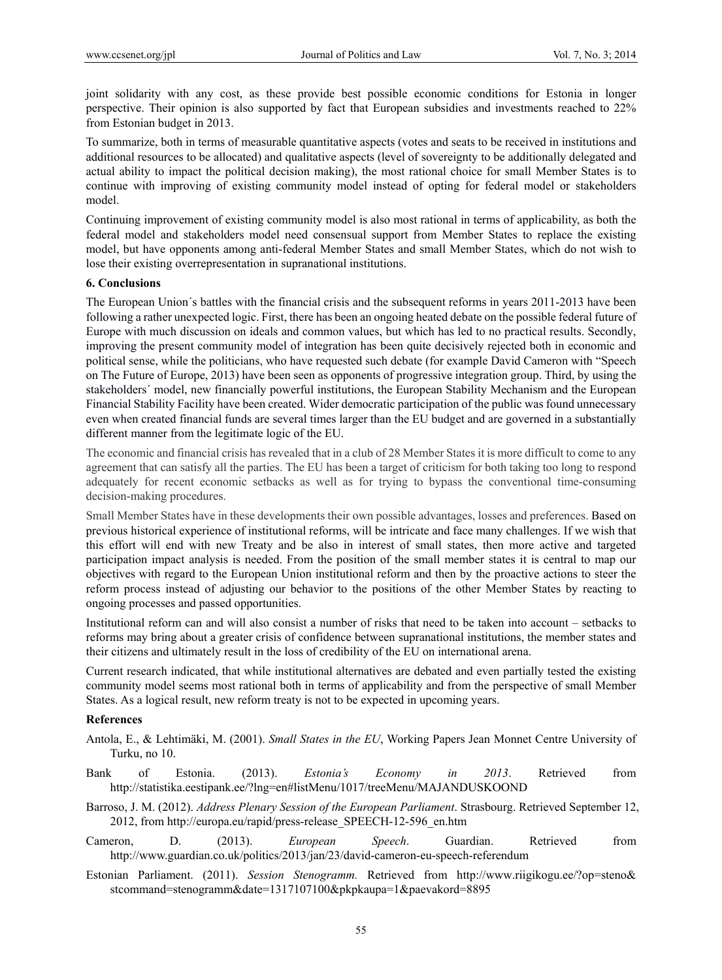joint solidarity with any cost, as these provide best possible economic conditions for Estonia in longer perspective. Their opinion is also supported by fact that European subsidies and investments reached to 22% from Estonian budget in 2013.

To summarize, both in terms of measurable quantitative aspects (votes and seats to be received in institutions and additional resources to be allocated) and qualitative aspects (level of sovereignty to be additionally delegated and actual ability to impact the political decision making), the most rational choice for small Member States is to continue with improving of existing community model instead of opting for federal model or stakeholders model.

Continuing improvement of existing community model is also most rational in terms of applicability, as both the federal model and stakeholders model need consensual support from Member States to replace the existing model, but have opponents among anti-federal Member States and small Member States, which do not wish to lose their existing overrepresentation in supranational institutions.

#### **6. Conclusions**

The European Union´s battles with the financial crisis and the subsequent reforms in years 2011-2013 have been following a rather unexpected logic. First, there has been an ongoing heated debate on the possible federal future of Europe with much discussion on ideals and common values, but which has led to no practical results. Secondly, improving the present community model of integration has been quite decisively rejected both in economic and political sense, while the politicians, who have requested such debate (for example David Cameron with "Speech on The Future of Europe, 2013) have been seen as opponents of progressive integration group. Third, by using the stakeholders´ model, new financially powerful institutions, the European Stability Mechanism and the European Financial Stability Facility have been created. Wider democratic participation of the public was found unnecessary even when created financial funds are several times larger than the EU budget and are governed in a substantially different manner from the legitimate logic of the EU.

The economic and financial crisis has revealed that in a club of 28 Member States it is more difficult to come to any agreement that can satisfy all the parties. The EU has been a target of criticism for both taking too long to respond adequately for recent economic setbacks as well as for trying to bypass the conventional time-consuming decision-making procedures.

Small Member States have in these developments their own possible advantages, losses and preferences. Based on previous historical experience of institutional reforms, will be intricate and face many challenges. If we wish that this effort will end with new Treaty and be also in interest of small states, then more active and targeted participation impact analysis is needed. From the position of the small member states it is central to map our objectives with regard to the European Union institutional reform and then by the proactive actions to steer the reform process instead of adjusting our behavior to the positions of the other Member States by reacting to ongoing processes and passed opportunities.

Institutional reform can and will also consist a number of risks that need to be taken into account – setbacks to reforms may bring about a greater crisis of confidence between supranational institutions, the member states and their citizens and ultimately result in the loss of credibility of the EU on international arena.

Current research indicated, that while institutional alternatives are debated and even partially tested the existing community model seems most rational both in terms of applicability and from the perspective of small Member States. As a logical result, new reform treaty is not to be expected in upcoming years.

#### **References**

- Antola, E., & Lehtimäki, M. (2001). *Small States in the EU*, Working Papers Jean Monnet Centre University of Turku, no 10.
- Bank of Estonia. (2013). *Estonia's Economy in 2013*. Retrieved from http://statistika.eestipank.ee/?lng=en#listMenu/1017/treeMenu/MAJANDUSKOOND
- Barroso, J. M. (2012). *Address Plenary Session of the European Parliament*. Strasbourg. Retrieved September 12, 2012, from http://europa.eu/rapid/press-release\_SPEECH-12-596\_en.htm
- Cameron, D. (2013). *European Speech*. Guardian. Retrieved from http://www.guardian.co.uk/politics/2013/jan/23/david-cameron-eu-speech-referendum
- Estonian Parliament. (2011). *Session Stenogramm.* Retrieved from http://www.riigikogu.ee/?op=steno& stcommand=stenogramm&date=1317107100&pkpkaupa=1&paevakord=8895